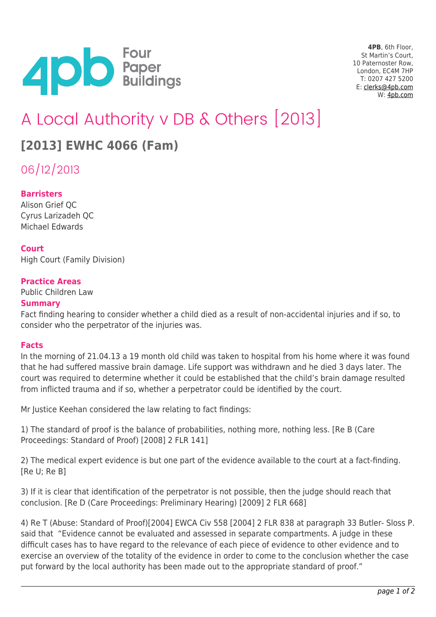

**4PB**, 6th Floor, St Martin's Court, 10 Paternoster Row, London, EC4M 7HP T: 0207 427 5200 E: [clerks@4pb.com](mailto:clerks@4pb.com) W: [4pb.com](http://4pb.com)

# A Local Authority v DB & Others [2013]

# **[2013] EWHC 4066 (Fam)**

06/12/2013

## **Barristers**

Alison Grief QC Cyrus Larizadeh QC Michael Edwards

#### **Court**

High Court (Family Division)

#### **Practice Areas**

Public Children Law

#### **Summary**

Fact finding hearing to consider whether a child died as a result of non-accidental injuries and if so, to consider who the perpetrator of the injuries was.

#### **Facts**

In the morning of 21.04.13 a 19 month old child was taken to hospital from his home where it was found that he had suffered massive brain damage. Life support was withdrawn and he died 3 days later. The court was required to determine whether it could be established that the child's brain damage resulted from inflicted trauma and if so, whether a perpetrator could be identified by the court.

Mr Justice Keehan considered the law relating to fact findings:

1) The standard of proof is the balance of probabilities, nothing more, nothing less. [Re B (Care Proceedings: Standard of Proof) [2008] 2 FLR 141]

2) The medical expert evidence is but one part of the evidence available to the court at a fact-finding. [Re U; Re B]

3) If it is clear that identification of the perpetrator is not possible, then the judge should reach that conclusion. [Re D (Care Proceedings: Preliminary Hearing) [2009] 2 FLR 668]

4) Re T (Abuse: Standard of Proof)[2004] EWCA Civ 558 [2004] 2 FLR 838 at paragraph 33 Butler- Sloss P. said that "Evidence cannot be evaluated and assessed in separate compartments. A judge in these difficult cases has to have regard to the relevance of each piece of evidence to other evidence and to exercise an overview of the totality of the evidence in order to come to the conclusion whether the case put forward by the local authority has been made out to the appropriate standard of proof."